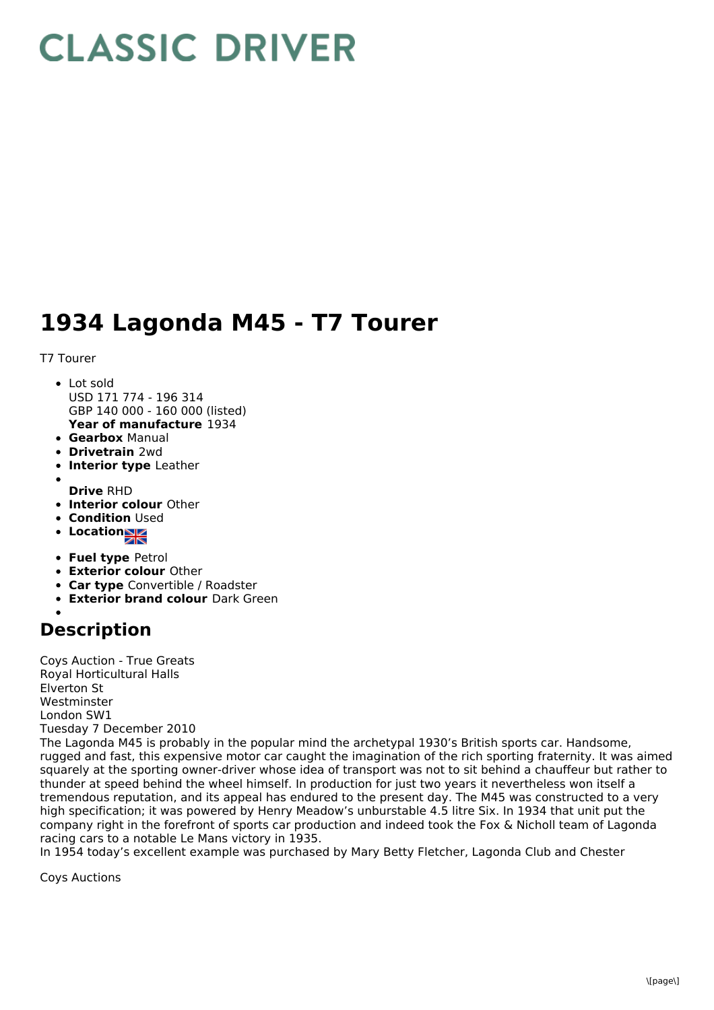## **CLASSIC DRIVER**

## **1934 Lagonda M45 - T7 Tourer**

T7 Tourer

- **Year of manufacture** 1934 • Lot sold USD 171 774 - 196 314 GBP 140 000 - 160 000 (listed)
- **Gearbox** Manual
- **Drivetrain** 2wd
- **Interior type** Leather
- **Drive** RHD
- **Interior colour** Other
- **Condition Used**
- **Location**
- **Fuel type** Petrol
- **Exterior colour** Other
- **Car type** Convertible / Roadster
- **Exterior brand colour** Dark Green

## **Description**

Coys Auction - True Greats Royal Horticultural Halls Elverton St Westminster London SW1 Tuesday 7 December 2010

The Lagonda M45 is probably in the popular mind the archetypal 1930's British sports car. Handsome, rugged and fast, this expensive motor car caught the imagination of the rich sporting fraternity. It was aimed squarely at the sporting owner-driver whose idea of transport was not to sit behind a chauffeur but rather to thunder at speed behind the wheel himself. In production for just two years it nevertheless won itself a tremendous reputation, and its appeal has endured to the present day. The M45 was constructed to a very high specification; it was powered by Henry Meadow's unburstable 4.5 litre Six. In 1934 that unit put the company right in the forefront of sports car production and indeed took the Fox & Nicholl team of Lagonda racing cars to a notable Le Mans victory in 1935.

In 1954 today's excellent example was purchased by Mary Betty Fletcher, Lagonda Club and Chester

Coys Auctions